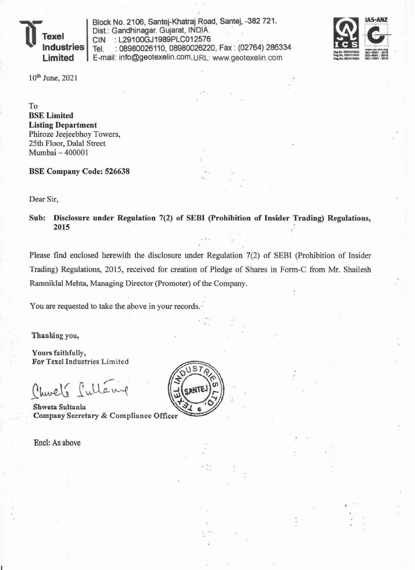

Block No. 2106, Santej-Khatraj Road, Santej, -382 721. Dist.: Gandhinagar. Gujarat, INDIA. CIN : L2910OGJ1989PLC012576 Tel. : 08980026110, 08980026220, Fax : (02764) 286334 E-mail: info@geotexelin.com,URL: www.geotexelin.com



10th June, 2021

To BSE Limited Listing Department Phiroze Jeejeebhoy Towers, 25th Floor, Dalal Street Mumbai - 400001

BSE Company Code: 526638

Dear Sir,

Sub: Disclosure under Regulation 7(2) of SEBI (Prohibition of Insider Trading) Regulations, 2015

' ..

Please find enclosed herewith the disclosure under Regulation 7(2) of SEBI (Prohibition of Insider Trading) Regulations, 2015, received for creation of Pledge of Shares in Form-C from Mr. Shailesh Ramniklal Mehta, Managing Director (promoter) of the Company.

You are requested to take the above in your records.

Thanking you,

Yours faithfully, For Texel Industries Limited

Church Sullang

Shweta Sultania Company Secretary & Compliance Officer

Enel: As above



' ..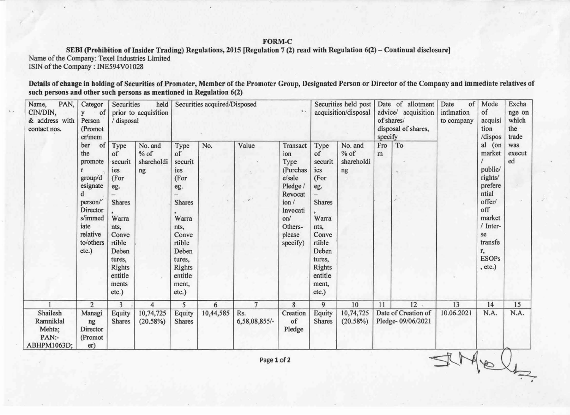## FORM-C

SEBI (Prohibition of Insider Trading) Regulations, 2015 [Regulation 7 (2) read with Regulation 6(2) - Continual disclosure] Name of the Company: Texel Industries Limited

ISIN of the Company: INE594V01028

Details of change in holding of Securities of Promoter, Member of the Promoter Group, Designated Person or Director of the Company and immediate relatives of such persons and other such persons as mentioned in Regulation 6(2)

| PAN,<br>Name,<br>CIN/DIN,<br>& address with<br>contact nos. | Categor<br>of<br>Person<br>(Promot<br>er/mem<br>of<br>ber<br>the<br>promote<br>group/d<br>esignate<br>person/<br>Director<br>s/immed<br>iate<br>relative<br>to/others<br>etc.) | Securities<br>held<br>prior to acquisition<br>/ disposal                                                                                                   |                                       | Securities acquired/Disposed<br>$\mathbf{A}$                                                                                                               |           |                        |                                                                                                                                  | Securities held post<br>acquisition/disposal                                                                                                               |                                       | Date of allotment<br>advice/ acquisition<br>of shares/<br>disposal of shares,<br>specify |                                          | of<br>Date<br>intimation<br>to company | Mode<br>of<br>acquisi<br>tion<br>/dispos                                                                                                            | Excha<br>nge on<br>which<br>the<br>trade |
|-------------------------------------------------------------|--------------------------------------------------------------------------------------------------------------------------------------------------------------------------------|------------------------------------------------------------------------------------------------------------------------------------------------------------|---------------------------------------|------------------------------------------------------------------------------------------------------------------------------------------------------------|-----------|------------------------|----------------------------------------------------------------------------------------------------------------------------------|------------------------------------------------------------------------------------------------------------------------------------------------------------|---------------------------------------|------------------------------------------------------------------------------------------|------------------------------------------|----------------------------------------|-----------------------------------------------------------------------------------------------------------------------------------------------------|------------------------------------------|
|                                                             |                                                                                                                                                                                | Type<br>of<br>securit<br>ies<br>(For<br>eg.<br><b>Shares</b><br>Warra<br>nts,<br>Conve<br>rtible<br>Deben<br>tures.<br>Rights<br>entitle<br>ments<br>etc.) | No. and<br>$%$ of<br>shareholdi<br>ng | Type<br>of<br>securit<br>ies<br>(For<br>eg.<br><b>Shares</b><br>Warra<br>nts,<br>Conve<br>rtible<br>Deben<br>tures,<br>Rights<br>entitle<br>ment,<br>etc.) | No.       | Value<br>$\mathcal{I}$ | Transact<br>ion<br>Type<br>(Purchas<br>e/sale<br>Pledge /<br>Revocat<br>ion/<br>Invocati<br>on/<br>Others-<br>please<br>specify) | Type<br>of<br>securit<br>ies<br>(For<br>eg.<br><b>Shares</b><br>Warra<br>nts,<br>Conve<br>rtible<br>Deben<br>tures,<br>Rights<br>entitle<br>ment,<br>etc.) | No. and<br>$%$ of<br>shareholdi<br>ng | Fro<br>m                                                                                 | To                                       |                                        | al (on<br>market<br>public/<br>rights/<br>prefere<br>ntial<br>offer/<br>off<br>market<br>/ Inter-<br>se<br>transfe<br>r.<br><b>ESOPs</b><br>, etc.) | was<br>execut<br>ed                      |
|                                                             | $\overline{2}$                                                                                                                                                                 | 3                                                                                                                                                          | 4                                     | 5                                                                                                                                                          | 6         | $\overline{7}$         | 8                                                                                                                                | 9                                                                                                                                                          | 10                                    | 11                                                                                       | 12                                       | 13                                     | 14                                                                                                                                                  | 15                                       |
| Shailesh<br>Ramniklal<br>Mehta;<br>PAN:-<br>ABHPM1063D;     | Managi<br>ng<br>Director<br>(Promot<br>er)                                                                                                                                     | Equity<br><b>Shares</b>                                                                                                                                    | 10,74,725<br>(20.58%)                 | Equity<br><b>Shares</b>                                                                                                                                    | 10,44,585 | Rs.<br>6,58,08,855/-   | Creation<br>of<br>Pledge                                                                                                         | Equity<br><b>Shares</b>                                                                                                                                    | 10,74,725<br>(20.58%)                 |                                                                                          | Date of Creation of<br>Pledge-09/06/2021 | 10.06.2021                             | N.A.                                                                                                                                                | N.A.                                     |

Page 1 of 2

STMELL